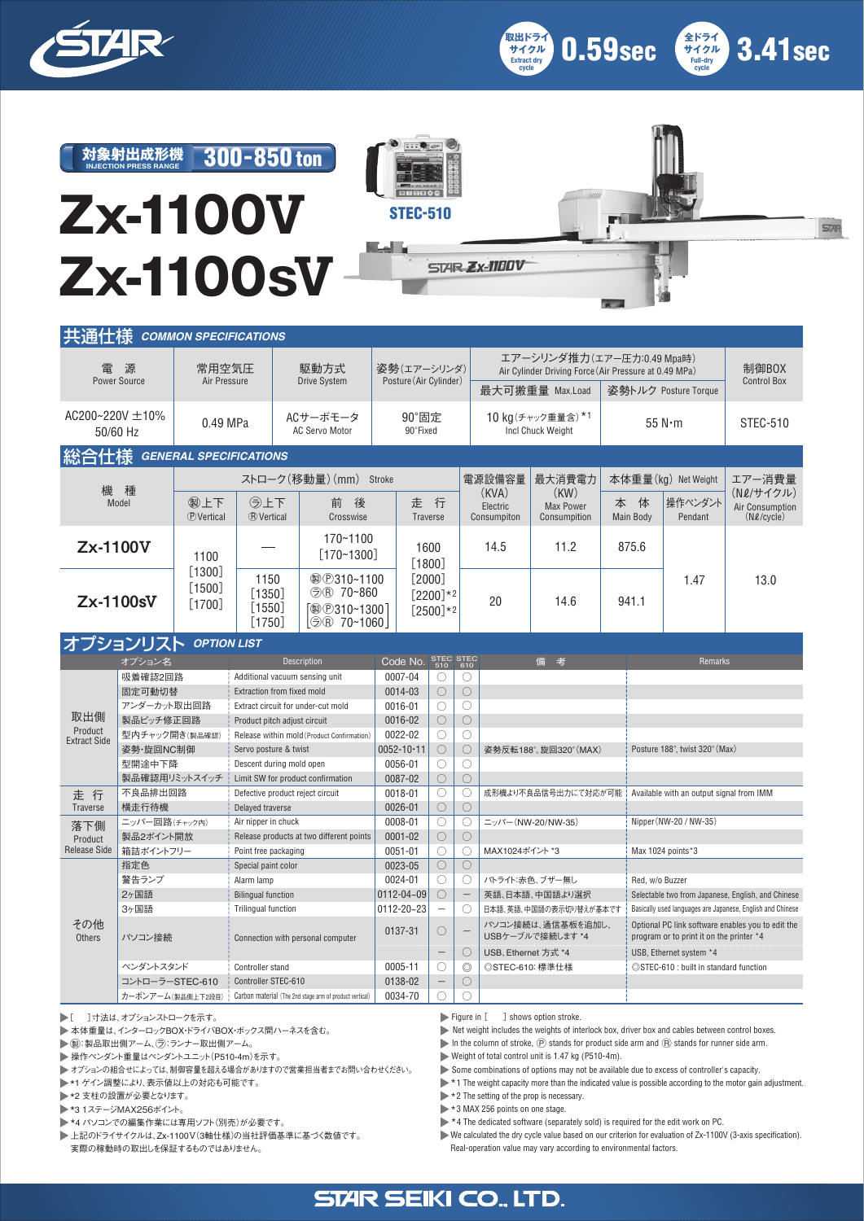



**Party Col** 

**STAR** 

**300-850 ton 対象射出成形機** 

# **Zx-1100Ⅴ Zx-1100sⅤ**



オプション名 Description Code No. <mark>STEC STEC</mark> 備 考 Remarks オプションリスト *OPTION LIST* STEC 610 取出側 その他 Product Extract Side 落下側 Product Release Side **Others** 姿勢反転188°、旋回320° (MAX) 成形機より不良品信号出力にて対応が可能 ¦ Available with an output signal from IMM ニッパー(NW-20/NW-35) MAX1024ポイント \*3 パトライト:赤色、ブザー無し 英語、日本語、中国語より選択 日本語、英語、中国語の表示切り替えが基本です パソコン接続は、通信基板を追加し、 USBケーブルで接続します \*4 USB、Ethernet 方式 \*4 ◎STEC-610:標準仕様 吸着確認2回路 固定可動切替 アンダーカット取出回路 製品ピッチ修正回路 型内チャック開き(製品確認) 姿勢・旋回NC制御 型開途中下降 製品確認用リミットスイッチ 不良品排出回路 横走行待機 ニッパー回路(チャック内) 製品2ポイント開放 箱詰ポイントフリー 指定色 警告ランプ 2ヶ国語 3ヶ国語 パソコン接続 ペンダントスタンド コントローラーSTEC-610 カーボンアーム(製品側上下2段目) Carbon material (The 2nd stage arm of product vertical) Additional vacuum sensing unit Extraction from fixed mold Extract circuit for under-cut mold Product pitch adjust circuit Release within mold(Product Confirmation) Servo posture & twist Descent during mold open Limit SW for product confirmation Defective product reject circuit Delayed traverse Air nipper in chuck Release products at two different points Point free packaging Special paint color Alarm lamp Bilingual function Trilingual function Connection with personal computer Controller stand Controller STEC-610 Posture 188°, twist 320° (Max) Nipper(NW-20 / NW-35) Max 1024 points\*3 Red, w/o Buzze Selectable two from Japanese, English, and Chinese Basically used languages are Japanese, English and Chinese Optional PC link software enables you to edit the program or to print it on the printer \*4 USB, Ethernet system \*4 ◎STEC-610 : built in standard function 0007-04 0014-03 0016-01 0016-02 0022-02  $0052 - 10 \cdot 11$ 0056-01 0087-02 0018-01 0026-01 0008-01 0001-02 0051-01 0023-05 0024-01 0112-04~09 0112-20~23 0137-31 0005-11 0138-02 0034-70 ◯  $\circ$ ◯  $\circ$ ◯ ◯ ◯ ◯  $\bigcap$ ◯ ◯ ◯ ◯ ◯ ◯  $\circ$ - ◯ - ◯ - ◯ ◯ ◯  $\subset$  $\circ$  $\bigcap$  $\bigcirc$ ◯  $\bigcap$ ◯ ◯ ◯ ◯ ◯ ◯ ◯ -  $\overline{\bigcirc}$ - ◯ ◎  $\bigcirc$ ◯ 走 行 **Traverse** 電 源 | 常用空気圧 | 駆動方式 | 姿勢(エアーシリンダ) | Air Cylinder Driving Force (Air Pressure at 0.49 MPa) | 制御BOX エアーシリンダ推力(エアー圧力:0.49 Mpa時) 最大可搬重量 Max.Load AC200~220V ±10% 0~220V 土10% 0.49 MPa ACサーボモータ 90°固定 10 kg(チャック重量含) \*1<br>50/60 Hz 0.49 MPa AC Servo Motor 90°Fixed Incl Chuck Weight ACサーボモータ 90°固定 10 kg (チャック重量含) \*1 55 N · m STEC-510 共通仕様 *COMMON SPECIFICATIONS* Power Source Air Pressure Drive System Posture (Air Cylinder) Control Box Control Box 姿勢トルク Posture Torque AC Servo Motor Incl Chuck Weight 1.47 機 種 ストローク(移動量)(mm) Stroke 前 後 | 走 行<br>Crosswise | Traverse 本体重量(kg) Net Weight 本 体 操作ペンダン|<br>Main Bodv Pendant 電源設備容量 (KVA) 最大消費電力 (KW) 総合仕様 *GENERAL SPECIFICATIONS* Model Crosswise Main Body Electric **Consumpiton** Max Power Consumpition Zx-1100Ⅴ Zx-1100sⅤ 1150 [1350] [1550] [1750] 170~1100  $\begin{array}{|c|c|c|c|c|c|}\n\hline\n[170~1300] & 1600 \\
\hline\n\end{array}$ [1800] [2000] [2200] \*2 [2500] \*2 1100 [1300] [1500] [1700] 14.5  $20$ 11.2 14.6 875.6 941.1 13.0 エアー消費量 (Nℓ /サイクル) Air Consumption (Nℓ/cycle) **(製上下 | ⑦上下**<br>
(P) Vertical | R) Vertica ◯P Vertical ◯R Vertical **@**<sup>2</sup>310~1100 ◯ラ ◯R 70~860 **@**<sup>2</sup>310~1300 ◯ラ ◯R 70~1060

▶[ ]寸法は、オプションストロークを示す。

本体重量は、インターロックBOX・ドライバBOX・ボックス間ハーネスを含む。

◯製:製品取出側アーム、◯ラ:ランナー取出側アーム。

■ 操作ペンダント重量はペンダントユニット(P510-4m)を示す。

オプションの組合せによっては、制御容量を超える場合がありますので営業担当者までお問い合わせください。

▶ \*1 ゲイン調整により、表示値以上の対応も可能です。

▶ \*2 支柱の設置が必要となります。

\*31ステージMAX256ポイント。

\*4 パソコンでの編集作業には専用ソフト(別売)が必要です。

上記のドライサイクルは、Zx-1100Ⅴ(3軸仕様)の当社評価基準に基づく数値です。

実際の稼動時の取出しを保証するものではありません。

 $\blacktriangleright$  Figure in  $\lceil \cdot \cdot \rceil$  shows option stroke.

Net weight includes the weights of interlock box, driver box and cables between control boxes.

In the column of stroke,  $(P)$  stands for product side arm and  $(P)$  stands for runner side arm.

Weight of total control unit is 1.47 kg (P510-4m).

Some combinations of options may not be available due to excess of controller's capacity.

\*1 The weight capacity more than the indicated value is possible according to the motor gain adjustment.

 $\blacktriangleright$  \*2 The setting of the prop is necessary.

 $\rightarrow$  \*3 MAX 256 points on one stage.

 $*$ 4 The dedicated software (separately sold) is required for the edit work on PC.

We calculated the dry cycle value based on our criterion for evaluation of Zx-1100V (3-axis specification). Real-operation value may vary according to environmental factors.

### **STAR SEIKI CO., LTD.**